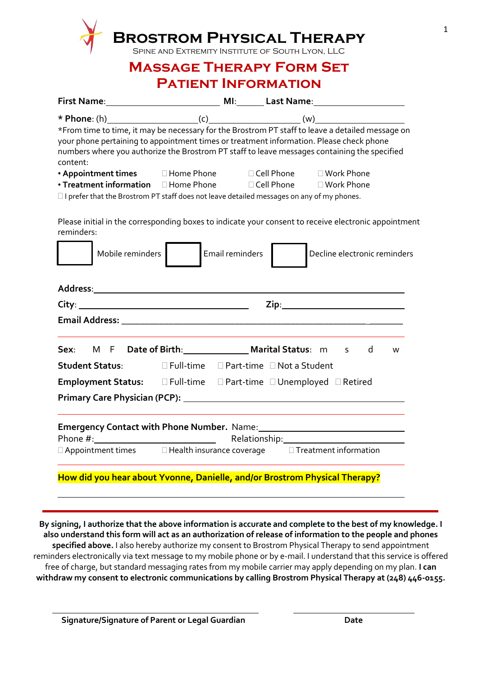| SPINE AND EXTREMITY INSTITUTE OF SOUTH LYON, LLC<br><b>MASSAGE THERAPY FORM SET</b>                                                                                                                                                           |                                      |                             |                                                                                                                                                                                                  |  |  |
|-----------------------------------------------------------------------------------------------------------------------------------------------------------------------------------------------------------------------------------------------|--------------------------------------|-----------------------------|--------------------------------------------------------------------------------------------------------------------------------------------------------------------------------------------------|--|--|
| <b>PATIENT INFORMATION</b>                                                                                                                                                                                                                    |                                      |                             |                                                                                                                                                                                                  |  |  |
|                                                                                                                                                                                                                                               |                                      |                             |                                                                                                                                                                                                  |  |  |
| your phone pertaining to appointment times or treatment information. Please check phone<br>content:<br>• Appointment times Indian Bhone Incell Phone Indianapolis Phone<br>• Treatment information II Home Phone II Cell Phone III Work Phone |                                      |                             | *From time to time, it may be necessary for the Brostrom PT staff to leave a detailed message on<br>numbers where you authorize the Brostrom PT staff to leave messages containing the specified |  |  |
|                                                                                                                                                                                                                                               |                                      |                             |                                                                                                                                                                                                  |  |  |
| reminders:<br>Mobile reminders                                                                                                                                                                                                                |                                      | Email reminders             | Please initial in the corresponding boxes to indicate your consent to receive electronic appointment<br>Decline electronic reminders                                                             |  |  |
|                                                                                                                                                                                                                                               |                                      |                             |                                                                                                                                                                                                  |  |  |
| <b>Email Address: Email Address:</b>                                                                                                                                                                                                          |                                      |                             |                                                                                                                                                                                                  |  |  |
| Sex:                                                                                                                                                                                                                                          | M F Date of Birth: Marital Status: m |                             | d<br>S.<br>W                                                                                                                                                                                     |  |  |
| <b>Student Status:</b>                                                                                                                                                                                                                        | $\square$ Full-time                  | □ Part-time □ Not a Student |                                                                                                                                                                                                  |  |  |
| Employment Status: EFull-time EPart-time EUnemployed ERetired                                                                                                                                                                                 |                                      |                             |                                                                                                                                                                                                  |  |  |
|                                                                                                                                                                                                                                               |                                      |                             |                                                                                                                                                                                                  |  |  |
|                                                                                                                                                                                                                                               |                                      |                             |                                                                                                                                                                                                  |  |  |
| Phone $#$ :<br>$\Box$ Appointment times $\Box$ Health insurance coverage $\Box$ Treatment information                                                                                                                                         |                                      |                             |                                                                                                                                                                                                  |  |  |

**By signing, I authorize that the above information is accurate and complete to the best of my knowledge. I also understand this form will act as an authorization of release of information to the people and phones specified above.** I also hereby authorize my consent to Brostrom Physical Therapy to send appointment reminders electronically via text message to my mobile phone or by e-mail. I understand that this service is offered free of charge, but standard messaging rates from my mobile carrier may apply depending on my plan. **I can withdraw my consent to electronic communications by calling Brostrom Physical Therapy at (248) 446-0155.**

1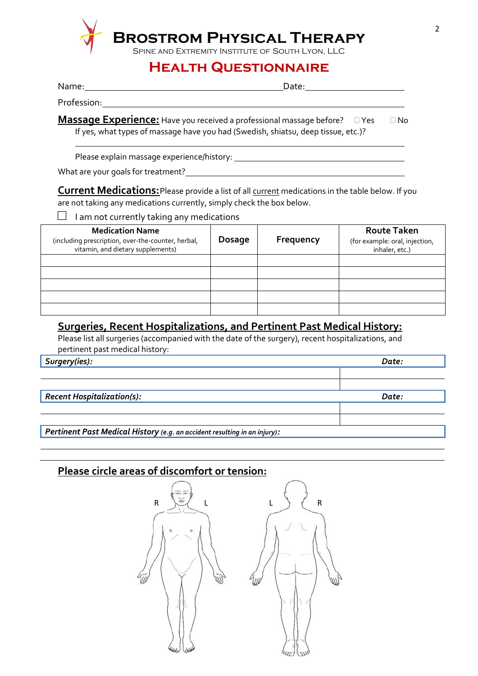

## **Brostrom Physical Therapy**

Spine and Extremity Institute of South Lyon, LLC

### **Health Questionnaire**

| Name:  | יe†ה∩<br>bucc. |
|--------|----------------|
| $\sim$ |                |

Profession:

**Massage Experience:** Have you received a professional massage before?  $\Box$  Yes  $\Box$  No If yes, what types of massage have you had (Swedish, shiatsu, deep tissue, etc.)?

Please explain massage experience/history:

What are your goals for treatment?

**Current Medications:**Please provide a list of all current medications in the table below. If you are not taking any medications currently, simply check the box below.

 $\Box$  I am not currently taking any medications

| <b>Medication Name</b><br>(including prescription, over-the-counter, herbal,<br>vitamin, and dietary supplements) | <b>Dosage</b> | Frequency | <b>Route Taken</b><br>(for example: oral, injection,<br>inhaler, etc.) |
|-------------------------------------------------------------------------------------------------------------------|---------------|-----------|------------------------------------------------------------------------|
|                                                                                                                   |               |           |                                                                        |
|                                                                                                                   |               |           |                                                                        |
|                                                                                                                   |               |           |                                                                        |
|                                                                                                                   |               |           |                                                                        |
|                                                                                                                   |               |           |                                                                        |

#### **Surgeries, Recent Hospitalizations, and Pertinent Past Medical History:**

Please list all surgeries (accompanied with the date of the surgery), recent hospitalizations, and pertinent past medical history:

*Surgery(ies): Date:*

*Recent Hospitalization(s): Date:*

*Pertinent Past Medical History (e.g. an accident resulting in an injury):*

#### **Please circle areas of discomfort or tension:**